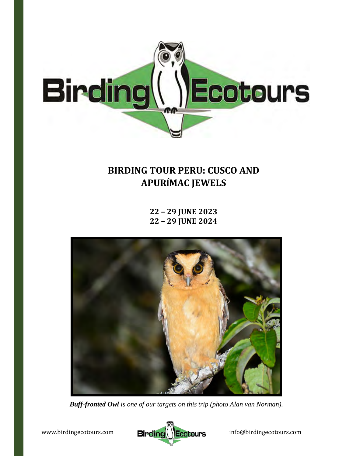

# **BIRDING TOUR PERU: CUSCO AND APURÍMAC JEWELS**

**22 – 29 JUNE 2023 22 – 29 JUNE 2024**



*Buff-fronted Owl is one of our targets on this trip (photo Alan van Norman).* 

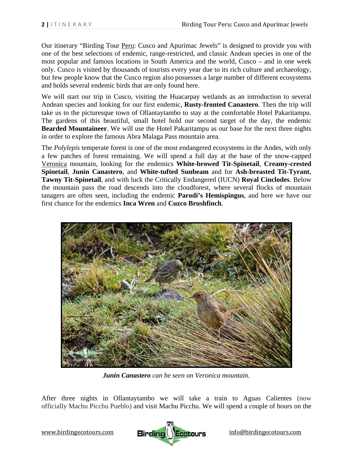Our itinerary "Birding Tour Peru: Cusco and Apurímac Jewels" is designed to provide you with one of the best selections of endemic, range-restricted, and classic Andean species in one of the most popular and famous locations in South America and the world, Cusco – and in one week only. Cusco is visited by thousands of tourists every year due to its rich culture and archaeology, but few people know that the Cusco region also possesses a large number of different ecosystems and holds several endemic birds that are only found here.

We will start our trip in Cusco, visiting the Huacarpay wetlands as an introduction to several Andean species and looking for our first endemic, **Rusty-fronted Canastero**. Then the trip will take us to the picturesque town of Ollantaytambo to stay at the comfortable Hotel Pakaritampu. The gardens of this beautiful, small hotel hold our second target of the day, the endemic **Bearded Mountaineer**. We will use the Hotel Pakaritampu as our base for the next three nights in order to explore the famous Abra Malaga Pass mountain area.

The *Polylepis* temperate forest is one of the most endangered ecosystems in the Andes, with only a few patches of forest remaining. We will spend a full day at the base of the snow-capped Veronica mountain, looking for the endemics **White-browed Tit-Spinetail**, **Creamy-crested Spinetail**, **Junin Canastero**, and **White-tufted Sunbeam** and for **Ash-breasted Tit-Tyrant**, **Tawny Tit-Spinetail**, and with luck the Critically Endangered (IUCN) **Royal Cinclodes**. Below the mountain pass the road descends into the cloudforest, where several flocks of mountain tanagers are often seen, including the endemic **Parodi's Hemispingus**, and here we have our first chance for the endemics **Inca Wren** and **Cuzco Brushfinch**.



*Junin Canastero can be seen on Veronica mountain.* 

After three nights in Ollantaytambo we will take a train to Aguas Calientes (now officially Machu Picchu Pueblo) and visit Machu Picchu. We will spend a couple of hours on the

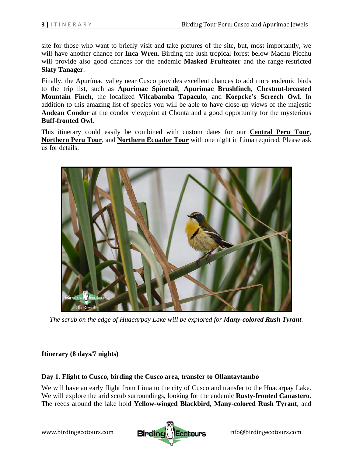site for those who want to briefly visit and take pictures of the site, but, most importantly, we will have another chance for **Inca Wren**. Birding the lush tropical forest below Machu Picchu will provide also good chances for the endemic **Masked Fruiteater** and the range-restricted **Slaty Tanager**.

Finally, the Apurímac valley near Cusco provides excellent chances to add more endemic birds to the trip list, such as **Apurimac Spinetail**, **Apurimac Brushfinch**, **Chestnut-breasted Mountain Finch**, the localized **Vilcabamba Tapaculo**, and **Koepcke's Screech Owl**. In addition to this amazing list of species you will be able to have close-up views of the majestic **Andean Condor** at the condor viewpoint at Chonta and a good opportunity for the mysterious **Buff-fronted Owl**.

This itinerary could easily be combined with custom dates for our **Central Peru Tour**, **Northern Peru Tour**, and **Northern Ecuador Tour** with one night in Lima required. Please ask us for details.



*The scrub on the edge of Huacarpay Lake will be explored for Many-colored Rush Tyrant.* 

# **Itinerary (8 days**/**7 nights)**

## **Day 1. Flight to Cusco**, **birding the Cusco area**, **transfer to Ollantaytambo**

We will have an early flight from Lima to the city of Cusco and transfer to the Huacarpay Lake. We will explore the arid scrub surroundings, looking for the endemic **Rusty-fronted Canastero**. The reeds around the lake hold **Yellow-winged Blackbird**, **Many-colored Rush Tyrant**, and

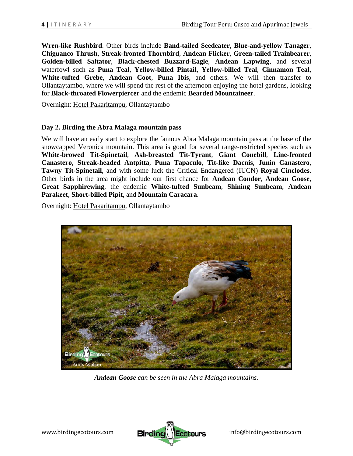**Wren-like Rushbird**. Other birds include **Band-tailed Seedeater**, **Blue-and-yellow Tanager**, **Chiguanco Thrush**, **Streak-fronted Thornbird**, **Andean Flicker**, **Green-tailed Trainbearer**, **Golden-billed Saltator**, **Black-chested Buzzard-Eagle**, **Andean Lapwing**, and several waterfowl such as **Puna Teal**, **Yellow-billed Pintail**, **Yellow-billed Teal**, **Cinnamon Teal**, **White-tufted Grebe**, **Andean Coot**, **Puna Ibis**, and others. We will then transfer to Ollantaytambo, where we will spend the rest of the afternoon enjoying the hotel gardens, looking for **Black-throated Flowerpiercer** and the endemic **Bearded Mountaineer**.

Overnight: Hotel Pakaritampu, Ollantaytambo

## **Day 2. Birding the Abra Malaga mountain pass**

We will have an early start to explore the famous Abra Malaga mountain pass at the base of the snowcapped Veronica mountain. This area is good for several range-restricted species such as **White-browed Tit-Spinetail**, **Ash-breasted Tit-Tyrant**, **Giant Conebill**, **Line-fronted Canastero**, **Streak-headed Antpitta**, **Puna Tapaculo**, **Tit-like Dacnis**, **Junin Canastero**, **Tawny Tit-Spinetail**, and with some luck the Critical Endangered (IUCN) **Royal Cinclodes**. Other birds in the area might include our first chance for **Andean Condor**, **Andean Goose**, **Great Sapphirewing**, the endemic **White-tufted Sunbeam**, **Shining Sunbeam**, **Andean Parakeet**, **Short-billed Pipit**, and **Mountain Caracara**.

Overnight: Hotel Pakaritampu, Ollantaytambo



*Andean Goose can be seen in the Abra Malaga mountains.* 

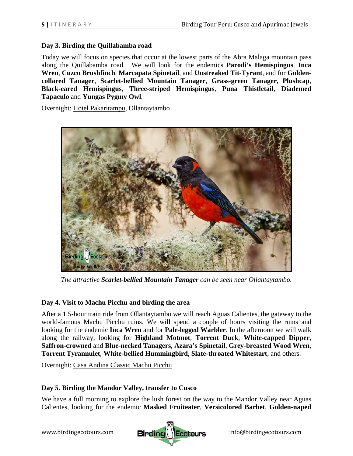# **Day 3. Birding the Quillabamba road**

Today we will focus on species that occur at the lowest parts of the Abra Malaga mountain pass along the Quillabamba road. We will look for the endemics **Parodi's Hemispingus**, **Inca Wren**, **Cuzco Brushfinch**, **Marcapata Spinetail**, and **Unstreaked Tit-Tyrant**, and for **Goldencollared Tanager**, **Scarlet-bellied Mountain Tanager**, **Grass-green Tanager**, **Plushcap**, **Black-eared Hemispingus**, **Three-striped Hemispingus**, **Puna Thistletail**, **Diademed Tapaculo** and **Yungas Pygmy Owl**.

Overnight: Hotel Pakaritampu, Ollantaytambo



*The attractive Scarlet-bellied Mountain Tanager can be seen near Ollantaytambo.*

# **Day 4. Visit to Machu Picchu and birding the area**

After a 1.5-hour train ride from Ollantaytambo we will reach Aguas Calientes, the gateway to the world-famous Machu Picchu ruins. We will spend a couple of hours visiting the ruins and looking for the endemic **Inca Wren** and for **Pale-legged Warbler**. In the afternoon we will walk along the railway, looking for **Highland Motmot**, **Torrent Duck**, **White-capped Dipper**, **Saffron-crowned** and **Blue-necked Tanagers**, **Azara's Spinetail**, **Grey-breasted Wood Wren**, **Torrent Tyrannulet**, **White-bellied Hummingbird**, **Slate-throated Whitestart**, and others.

Overnight: Casa Andina Classic Machu Picchu

# **Day 5. Birding the Mandor Valley, transfer to Cusco**

We have a full morning to explore the lush forest on the way to the Mandor Valley near Aguas Calientes, looking for the endemic **Masked Fruiteater**, **Versicolored Barbet**, **Golden-naped**

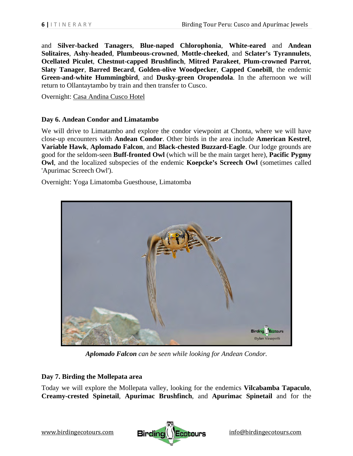and **Silver-backed Tanagers**, **Blue-naped Chlorophonia**, **White-eared** and **Andean Solitaires**, **Ashy-headed**, **Plumbeous-crowned**, **Mottle-cheeked**, and **Sclater's Tyrannulets**, **Ocellated Piculet**, **Chestnut-capped Brushfinch**, **Mitred Parakeet**, **Plum-crowned Parrot**, **Slaty Tanager**, **Barred Becard**, **Golden-olive Woodpecker**, **Capped Conebill**, the endemic **Green-and-white Hummingbird**, and **Dusky-green Oropendola**. In the afternoon we will return to Ollantaytambo by train and then transfer to Cusco.

Overnight: Casa Andina Cusco Hotel

## **Day 6. Andean Condor and Limatambo**

We will drive to Limatambo and explore the condor viewpoint at Chonta, where we will have close-up encounters with **Andean Condor**. Other birds in the area include **American Kestrel**, **Variable Hawk**, **Aplomado Falcon**, and **Black-chested Buzzard-Eagle**. Our lodge grounds are good for the seldom-seen **Buff-fronted Owl** (which will be the main target here), **Pacific Pygmy Owl**, and the localized subspecies of the endemic **Koepcke's Screech Owl** (sometimes called 'Apurimac Screech Owl').

Overnight: Yoga Limatomba Guesthouse, Limatomba



*Aplomado Falcon can be seen while looking for Andean Condor.* 

# **Day 7. Birding the Mollepata area**

Today we will explore the Mollepata valley, looking for the endemics **Vilcabamba Tapaculo**, **Creamy-crested Spinetail**, **Apurimac Brushfinch**, and **Apurimac Spinetail** and for the

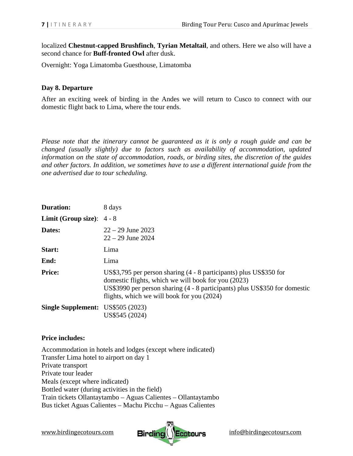localized **Chestnut-capped Brushfinch**, **Tyrian Metaltail**, and others. Here we also will have a second chance for **Buff-fronted Owl** after dusk.

Overnight: Yoga Limatomba Guesthouse, Limatomba

## **Day 8. Departure**

After an exciting week of birding in the Andes we will return to Cusco to connect with our domestic flight back to Lima, where the tour ends.

*Please note that the itinerary cannot be guaranteed as it is only a rough guide and can be changed (usually slightly) due to factors such as availability of accommodation, updated information on the state of accommodation, roads, or birding sites, the discretion of the guides and other factors. In addition, we sometimes have to use a different international guide from the one advertised due to tour scheduling.*

| <b>Duration:</b>                         | 8 days                                                                                                                                                                                                                                                |
|------------------------------------------|-------------------------------------------------------------------------------------------------------------------------------------------------------------------------------------------------------------------------------------------------------|
| <b>Limit (Group size):</b> $4 - 8$       |                                                                                                                                                                                                                                                       |
| Dates:                                   | $22 - 29$ June 2023<br>$22 - 29$ June 2024                                                                                                                                                                                                            |
| Start:                                   | Lima                                                                                                                                                                                                                                                  |
| End:                                     | Lima                                                                                                                                                                                                                                                  |
| <b>Price:</b>                            | US\$3,795 per person sharing (4 - 8 participants) plus US\$350 for<br>domestic flights, which we will book for you (2023)<br>US\$3990 per person sharing (4 - 8 participants) plus US\$350 for domestic<br>flights, which we will book for you (2024) |
| <b>Single Supplement:</b> US\$505 (2023) | US\$545 (2024)                                                                                                                                                                                                                                        |

## **Price includes:**

Accommodation in hotels and lodges (except where indicated) Transfer Lima hotel to airport on day 1 Private transport Private tour leader Meals (except where indicated) Bottled water (during activities in the field) Train tickets Ollantaytambo – Aguas Calientes – Ollantaytambo Bus ticket Aguas Calientes – Machu Picchu – Aguas Calientes